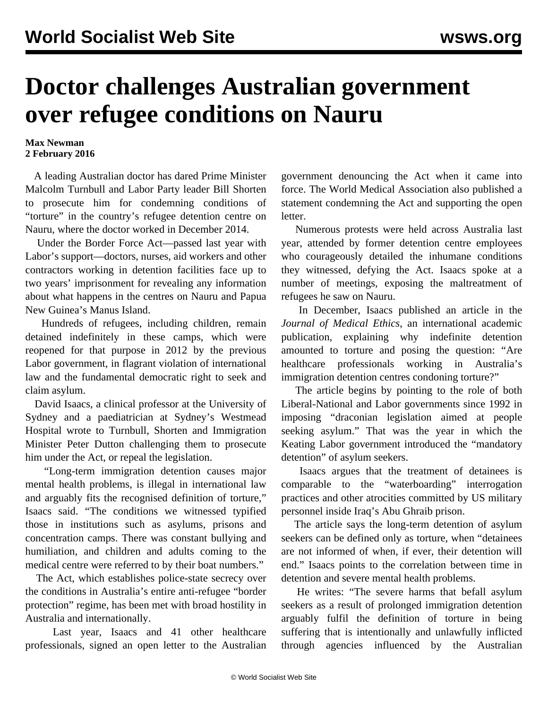## **Doctor challenges Australian government over refugee conditions on Nauru**

## **Max Newman 2 February 2016**

 A leading Australian doctor has dared Prime Minister Malcolm Turnbull and Labor Party leader Bill Shorten to prosecute him for condemning conditions of "torture" in the country's refugee detention centre on Nauru, where the doctor worked in December 2014.

 Under the Border Force Act—passed last year with Labor's support—doctors, nurses, aid workers and other contractors working in detention facilities face up to two years' imprisonment for revealing any information about what happens in the centres on Nauru and Papua New Guinea's Manus Island.

 Hundreds of refugees, including children, remain detained indefinitely in these camps, which were reopened for that purpose in 2012 by the previous Labor government, in flagrant violation of international law and the fundamental democratic right to seek and claim asylum.

 David Isaacs, a clinical professor at the University of Sydney and a paediatrician at Sydney's Westmead Hospital wrote to Turnbull, Shorten and Immigration Minister Peter Dutton challenging them to prosecute him under the Act, or repeal the legislation.

 "Long-term immigration detention causes major mental health problems, is illegal in international law and arguably fits the recognised definition of torture," Isaacs said. "The conditions we witnessed typified those in institutions such as asylums, prisons and concentration camps. There was constant bullying and humiliation, and children and adults coming to the medical centre were referred to by their boat numbers."

 The Act, which establishes police-state secrecy over the conditions in Australia's entire anti-refugee "border protection" regime, has been met with broad hostility in Australia and internationally.

 Last year, Isaacs and 41 other healthcare professionals, signed an open letter to the Australian

government denouncing the Act when it came into force. The World Medical Association also published a statement condemning the Act and supporting the open letter.

 Numerous protests were held across Australia last year, attended by former detention centre employees who courageously detailed the inhumane conditions they witnessed, defying the Act. Isaacs spoke at a number of meetings, exposing the maltreatment of refugees he saw on Nauru.

 In December, Isaacs published an article in the *Journal of Medical Ethics*, an international academic publication, explaining why indefinite detention amounted to torture and posing the question: "Are healthcare professionals working in Australia's immigration detention centres condoning torture?"

 The article begins by pointing to the role of both Liberal-National and Labor governments since 1992 in imposing "draconian legislation aimed at people seeking asylum." That was the year in which the Keating Labor government introduced the "mandatory detention" of asylum seekers.

 Isaacs argues that the treatment of detainees is comparable to the "waterboarding" interrogation practices and other atrocities committed by US military personnel inside Iraq's Abu Ghraib prison.

 The article says the long-term detention of asylum seekers can be defined only as torture, when "detainees are not informed of when, if ever, their detention will end." Isaacs points to the correlation between time in detention and severe mental health problems.

 He writes: "The severe harms that befall asylum seekers as a result of prolonged immigration detention arguably fulfil the definition of torture in being suffering that is intentionally and unlawfully inflicted through agencies influenced by the Australian